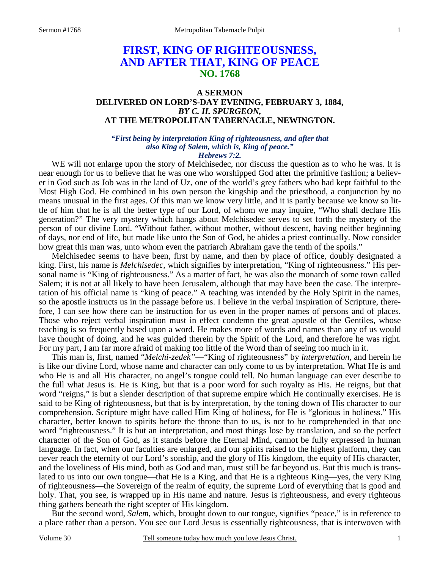# **FIRST, KING OF RIGHTEOUSNESS, AND AFTER THAT, KING OF PEACE NO. 1768**

## **A SERMON DELIVERED ON LORD'S-DAY EVENING, FEBRUARY 3, 1884,**  *BY C. H. SPURGEON,*  **AT THE METROPOLITAN TABERNACLE, NEWINGTON.**

#### *"First being by interpretation King of righteousness, and after that also King of Salem, which is, King of peace." Hebrews 7:2.*

WE will not enlarge upon the story of Melchisedec, nor discuss the question as to who he was. It is near enough for us to believe that he was one who worshipped God after the primitive fashion; a believer in God such as Job was in the land of Uz, one of the world's grey fathers who had kept faithful to the Most High God. He combined in his own person the kingship and the priesthood, a conjunction by no means unusual in the first ages. Of this man we know very little, and it is partly because we know so little of him that he is all the better type of our Lord, of whom we may inquire, "Who shall declare His generation?" The very mystery which hangs about Melchisedec serves to set forth the mystery of the person of our divine Lord. "Without father, without mother, without descent, having neither beginning of days, nor end of life, but made like unto the Son of God, he abides a priest continually. Now consider how great this man was, unto whom even the patriarch Abraham gave the tenth of the spoils."

 Melchisedec seems to have been, first by name, and then by place of office, doubly designated a king. First, his name is *Melchisedec*, which signifies by interpretation, "King of righteousness." His personal name is "King of righteousness." As a matter of fact, he was also the monarch of some town called Salem; it is not at all likely to have been Jerusalem, although that may have been the case. The interpretation of his official name is "king of peace." A teaching was intended by the Holy Spirit in the names, so the apostle instructs us in the passage before us. I believe in the verbal inspiration of Scripture, therefore, I can see how there can be instruction for us even in the proper names of persons and of places. Those who reject verbal inspiration must in effect condemn the great apostle of the Gentiles, whose teaching is so frequently based upon a word. He makes more of words and names than any of us would have thought of doing, and he was guided therein by the Spirit of the Lord, and therefore he was right. For my part, I am far more afraid of making too little of the Word than of seeing too much in it.

 This man is, first, named "*Melchi-zedek"*—"King of righteousness" by *interpretation,* and herein he is like our divine Lord, whose name and character can only come to us by interpretation. What He is and who He is and all His character, no angel's tongue could tell. No human language can ever describe to the full what Jesus is. He is King, but that is a poor word for such royalty as His. He reigns, but that word "reigns," is but a slender description of that supreme empire which He continually exercises. He is said to be King of righteousness, but that is by interpretation, by the toning down of His character to our comprehension. Scripture might have called Him King of holiness, for He is "glorious in holiness." His character, better known to spirits before the throne than to us, is not to be comprehended in that one word "righteousness." It is but an interpretation, and most things lose by translation, and so the perfect character of the Son of God, as it stands before the Eternal Mind, cannot be fully expressed in human language. In fact, when our faculties are enlarged, and our spirits raised to the highest platform, they can never reach the eternity of our Lord's sonship, and the glory of His kingdom, the equity of His character, and the loveliness of His mind, both as God and man, must still be far beyond us. But this much is translated to us into our own tongue—that He is a King, and that He is a righteous King—yes, the very King of righteousness—the Sovereign of the realm of equity, the supreme Lord of everything that is good and holy. That, you see, is wrapped up in His name and nature. Jesus is righteousness, and every righteous thing gathers beneath the right scepter of His kingdom.

 But the second word, *Salem*, which, brought down to our tongue, signifies "peace," is in reference to a place rather than a person. You see our Lord Jesus is essentially righteousness, that is interwoven with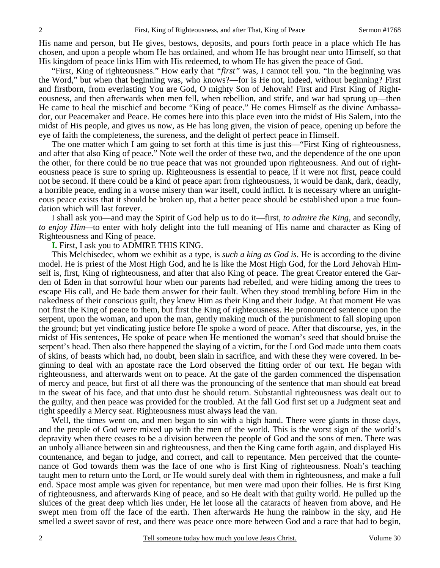His name and person, but He gives, bestows, deposits, and pours forth peace in a place which He has chosen, and upon a people whom He has ordained, and whom He has brought near unto Himself, so that His kingdom of peace links Him with His redeemed, to whom He has given the peace of God.

 "First, King of righteousness." How early that *"first"* was, I cannot tell you. "In the beginning was the Word," but when that beginning was, who knows?—for is He not, indeed, without beginning? First and firstborn, from everlasting You are God, O mighty Son of Jehovah! First and First King of Righteousness, and then afterwards when men fell, when rebellion, and strife, and war had sprung up—then He came to heal the mischief and become "King of peace." He comes Himself as the divine Ambassador, our Peacemaker and Peace. He comes here into this place even into the midst of His Salem, into the midst of His people, and gives us now, as He has long given, the vision of peace, opening up before the eye of faith the completeness, the sureness, and the delight of perfect peace in Himself.

The one matter which I am going to set forth at this time is just this—"First King of righteousness, and after that also King of peace." Note well the order of these two, and the dependence of the one upon the other, for there could be no true peace that was not grounded upon righteousness. And out of righteousness peace is sure to spring up. Righteousness is essential to peace, if it were not first, peace could not be second. If there could be a kind of peace apart from righteousness, it would be dank, dark, deadly, a horrible peace, ending in a worse misery than war itself, could inflict. It is necessary where an unrighteous peace exists that it should be broken up, that a better peace should be established upon a true foundation which will last forever.

 I shall ask you—and may the Spirit of God help us to do it—first, *to admire the King*, and secondly, *to enjoy Him*—to enter with holy delight into the full meaning of His name and character as King of Righteousness and King of peace.

**I.** First, I ask you to ADMIRE THIS KING.

 This Melchisedec, whom we exhibit as a type, is *such a king as God is*. He is according to the divine model. He is priest of the Most High God, and he is like the Most High God, for the Lord Jehovah Himself is, first, King of righteousness, and after that also King of peace. The great Creator entered the Garden of Eden in that sorrowful hour when our parents had rebelled, and were hiding among the trees to escape His call, and He bade them answer for their fault. When they stood trembling before Him in the nakedness of their conscious guilt, they knew Him as their King and their Judge. At that moment He was not first the King of peace to them, but first the King of righteousness. He pronounced sentence upon the serpent, upon the woman, and upon the man, gently making much of the punishment to fall sloping upon the ground; but yet vindicating justice before He spoke a word of peace. After that discourse, yes, in the midst of His sentences, He spoke of peace when He mentioned the woman's seed that should bruise the serpent's head. Then also there happened the slaying of a victim, for the Lord God made unto them coats of skins, of beasts which had, no doubt, been slain in sacrifice, and with these they were covered. In beginning to deal with an apostate race the Lord observed the fitting order of our text. He began with righteousness, and afterwards went on to peace. At the gate of the garden commenced the dispensation of mercy and peace, but first of all there was the pronouncing of the sentence that man should eat bread in the sweat of his face, and that unto dust he should return. Substantial righteousness was dealt out to the guilty, and then peace was provided for the troubled. At the fall God first set up a Judgment seat and right speedily a Mercy seat. Righteousness must always lead the van.

 Well, the times went on, and men began to sin with a high hand. There were giants in those days, and the people of God were mixed up with the men of the world. This is the worst sign of the world's depravity when there ceases to be a division between the people of God and the sons of men. There was an unholy alliance between sin and righteousness, and then the King came forth again, and displayed His countenance, and began to judge, and correct, and call to repentance. Men perceived that the countenance of God towards them was the face of one who is first King of righteousness. Noah's teaching taught men to return unto the Lord, or He would surely deal with them in righteousness, and make a full end. Space most ample was given for repentance, but men were mad upon their follies. He is first King of righteousness, and afterwards King of peace, and so He dealt with that guilty world. He pulled up the sluices of the great deep which lies under, He let loose all the cataracts of heaven from above, and He swept men from off the face of the earth. Then afterwards He hung the rainbow in the sky, and He smelled a sweet savor of rest, and there was peace once more between God and a race that had to begin,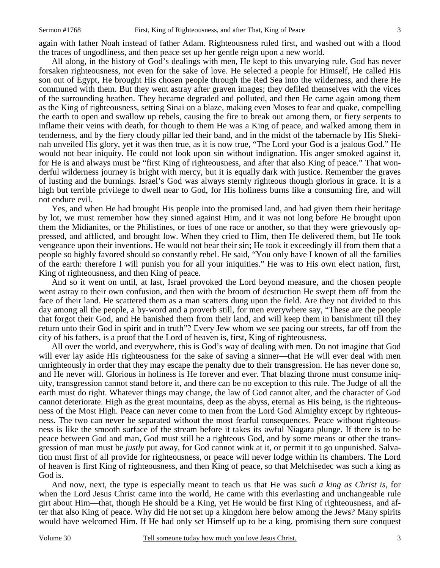again with father Noah instead of father Adam. Righteousness ruled first, and washed out with a flood the traces of ungodliness, and then peace set up her gentle reign upon a new world.

 All along, in the history of God's dealings with men, He kept to this unvarying rule. God has never forsaken righteousness, not even for the sake of love. He selected a people for Himself, He called His son out of Egypt, He brought His chosen people through the Red Sea into the wilderness, and there He communed with them. But they went astray after graven images; they defiled themselves with the vices of the surrounding heathen. They became degraded and polluted, and then He came again among them as the King of righteousness, setting Sinai on a blaze, making even Moses to fear and quake, compelling the earth to open and swallow up rebels, causing the fire to break out among them, or fiery serpents to inflame their veins with death, for though to them He was a King of peace, and walked among them in tenderness, and by the fiery cloudy pillar led their band, and in the midst of the tabernacle by His Shekinah unveiled His glory, yet it was then true, as it is now true, "The Lord your God is a jealous God." He would not bear iniquity. He could not look upon sin without indignation. His anger smoked against it, for He is and always must be "first King of righteousness, and after that also King of peace." That wonderful wilderness journey is bright with mercy, but it is equally dark with justice. Remember the graves of lusting and the burnings. Israel's God was always sternly righteous though glorious in grace. It is a high but terrible privilege to dwell near to God, for His holiness burns like a consuming fire, and will not endure evil.

 Yes, and when He had brought His people into the promised land, and had given them their heritage by lot, we must remember how they sinned against Him, and it was not long before He brought upon them the Midianites, or the Philistines, or foes of one race or another, so that they were grievously oppressed, and afflicted, and brought low. When they cried to Him, then He delivered them, but He took vengeance upon their inventions. He would not bear their sin; He took it exceedingly ill from them that a people so highly favored should so constantly rebel. He said, "You only have I known of all the families of the earth: therefore I will punish you for all your iniquities." He was to His own elect nation, first, King of righteousness, and then King of peace.

 And so it went on until, at last, Israel provoked the Lord beyond measure, and the chosen people went astray to their own confusion, and then with the broom of destruction He swept them off from the face of their land. He scattered them as a man scatters dung upon the field. Are they not divided to this day among all the people, a by-word and a proverb still, for men everywhere say, "These are the people that forgot their God, and He banished them from their land, and will keep them in banishment till they return unto their God in spirit and in truth"? Every Jew whom we see pacing our streets, far off from the city of his fathers, is a proof that the Lord of heaven is, first, King of righteousness.

 All over the world, and everywhere, this is God's way of dealing with men. Do not imagine that God will ever lay aside His righteousness for the sake of saving a sinner—that He will ever deal with men unrighteously in order that they may escape the penalty due to their transgression. He has never done so, and He never will. Glorious in holiness is He forever and ever. That blazing throne must consume iniquity, transgression cannot stand before it, and there can be no exception to this rule. The Judge of all the earth must do right. Whatever things may change, the law of God cannot alter, and the character of God cannot deteriorate. High as the great mountains, deep as the abyss, eternal as His being, is the righteousness of the Most High. Peace can never come to men from the Lord God Almighty except by righteousness. The two can never be separated without the most fearful consequences. Peace without righteousness is like the smooth surface of the stream before it takes its awful Niagara plunge. If there is to be peace between God and man, God must still be a righteous God, and by some means or other the transgression of man must be *justly* put away, for God cannot wink at it, or permit it to go unpunished. Salvation must first of all provide for righteousness, or peace will never lodge within its chambers. The Lord of heaven is first King of righteousness, and then King of peace, so that Melchisedec was such a king as God is.

 And now, next, the type is especially meant to teach us that He was *such a king as Christ is,* for when the Lord Jesus Christ came into the world, He came with this everlasting and unchangeable rule girt about Him—that, though He should be a King, yet He would be first King of righteousness, and after that also King of peace. Why did He not set up a kingdom here below among the Jews? Many spirits would have welcomed Him. If He had only set Himself up to be a king, promising them sure conquest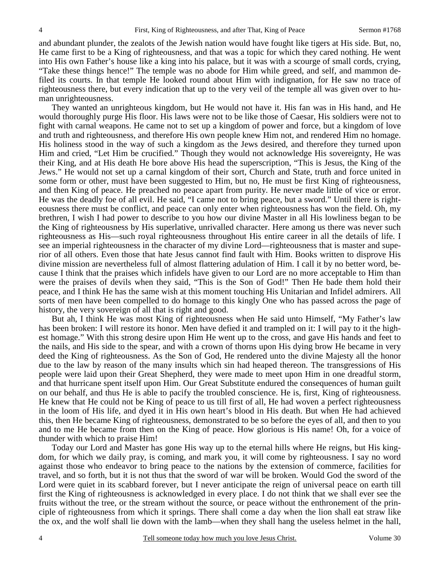and abundant plunder, the zealots of the Jewish nation would have fought like tigers at His side. But, no, He came first to be a King of righteousness, and that was a topic for which they cared nothing. He went into His own Father's house like a king into his palace, but it was with a scourge of small cords, crying, "Take these things hence!" The temple was no abode for Him while greed, and self, and mammon defiled its courts. In that temple He looked round about Him with indignation, for He saw no trace of righteousness there, but every indication that up to the very veil of the temple all was given over to human unrighteousness.

 They wanted an unrighteous kingdom, but He would not have it. His fan was in His hand, and He would thoroughly purge His floor. His laws were not to be like those of Caesar, His soldiers were not to fight with carnal weapons. He came not to set up a kingdom of power and force, but a kingdom of love and truth and righteousness, and therefore His own people knew Him not, and rendered Him no homage. His holiness stood in the way of such a kingdom as the Jews desired, and therefore they turned upon Him and cried, "Let Him be crucified." Though they would not acknowledge His sovereignty, He was their King, and at His death He bore above His head the superscription, "This is Jesus, the King of the Jews." He would not set up a carnal kingdom of their sort, Church and State, truth and force united in some form or other, must have been suggested to Him, but no, He must be first King of righteousness, and then King of peace. He preached no peace apart from purity. He never made little of vice or error. He was the deadly foe of all evil. He said, "I came not to bring peace, but a sword." Until there is righteousness there must be conflict, and peace can only enter when righteousness has won the field. Oh, my brethren, I wish I had power to describe to you how our divine Master in all His lowliness began to be the King of righteousness by His superlative, unrivalled character. Here among us there was never such righteousness as His—such royal righteousness throughout His entire career in all the details of life. I see an imperial righteousness in the character of my divine Lord—righteousness that is master and superior of all others. Even those that hate Jesus cannot find fault with Him. Books written to disprove His divine mission are nevertheless full of almost flattering adulation of Him. I call it by no better word, because I think that the praises which infidels have given to our Lord are no more acceptable to Him than were the praises of devils when they said, "This is the Son of God!" Then He bade them hold their peace, and I think He has the same wish at this moment touching His Unitarian and Infidel admirers. All sorts of men have been compelled to do homage to this kingly One who has passed across the page of history, the very sovereign of all that is right and good.

 But ah, I think He was most King of righteousness when He said unto Himself, "My Father's law has been broken: I will restore its honor. Men have defied it and trampled on it: I will pay to it the highest homage." With this strong desire upon Him He went up to the cross, and gave His hands and feet to the nails, and His side to the spear, and with a crown of thorns upon His dying brow He became in very deed the King of righteousness. As the Son of God, He rendered unto the divine Majesty all the honor due to the law by reason of the many insults which sin had heaped thereon. The transgressions of His people were laid upon their Great Shepherd, they were made to meet upon Him in one dreadful storm, and that hurricane spent itself upon Him. Our Great Substitute endured the consequences of human guilt on our behalf, and thus He is able to pacify the troubled conscience. He is, first, King of righteousness. He knew that He could not be King of peace to us till first of all, He had woven a perfect righteousness in the loom of His life, and dyed it in His own heart's blood in His death. But when He had achieved this, then He became King of righteousness, demonstrated to be so before the eyes of all, and then to you and to me He became from then on the King of peace. How glorious is His name! Oh, for a voice of thunder with which to praise Him!

 Today our Lord and Master has gone His way up to the eternal hills where He reigns, but His kingdom, for which we daily pray, is coming, and mark you, it will come by righteousness. I say no word against those who endeavor to bring peace to the nations by the extension of commerce, facilities for travel, and so forth, but it is not thus that the sword of war will be broken. Would God the sword of the Lord were quiet in its scabbard forever, but I never anticipate the reign of universal peace on earth till first the King of righteousness is acknowledged in every place. I do not think that we shall ever see the fruits without the tree, or the stream without the source, or peace without the enthronement of the principle of righteousness from which it springs. There shall come a day when the lion shall eat straw like the ox, and the wolf shall lie down with the lamb—when they shall hang the useless helmet in the hall,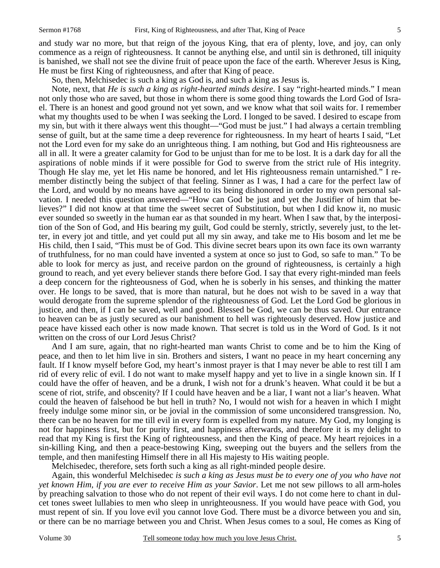and study war no more, but that reign of the joyous King, that era of plenty, love, and joy, can only commence as a reign of righteousness. It cannot be anything else, and until sin is dethroned, till iniquity is banished, we shall not see the divine fruit of peace upon the face of the earth. Wherever Jesus is King, He must be first King of righteousness, and after that King of peace.

So, then, Melchisedec is such a king as God is, and such a king as Jesus is.

 Note, next, that *He is such a king as right-hearted minds desire*. I say "right-hearted minds." I mean not only those who are saved, but those in whom there is some good thing towards the Lord God of Israel. There is an honest and good ground not yet sown, and we know what that soil waits for. I remember what my thoughts used to be when I was seeking the Lord. I longed to be saved. I desired to escape from my sin, but with it there always went this thought—"God must be just." I had always a certain trembling sense of guilt, but at the same time a deep reverence for righteousness. In my heart of hearts I said, "Let not the Lord even for my sake do an unrighteous thing. I am nothing, but God and His righteousness are all in all. It were a greater calamity for God to be unjust than for me to be lost. It is a dark day for all the aspirations of noble minds if it were possible for God to swerve from the strict rule of His integrity. Though He slay me, yet let His name be honored, and let His righteousness remain untarnished." I remember distinctly being the subject of that feeling. Sinner as I was, I had a care for the perfect law of the Lord, and would by no means have agreed to its being dishonored in order to my own personal salvation. I needed this question answered—"How can God be just and yet the Justifier of him that believes?" I did not know at that time the sweet secret of Substitution, but when I did know it, no music ever sounded so sweetly in the human ear as that sounded in my heart. When I saw that, by the interposition of the Son of God, and His bearing my guilt, God could be sternly, strictly, severely just, to the letter, in every jot and tittle, and yet could put all my sin away, and take me to His bosom and let me be His child, then I said, "This must be of God. This divine secret bears upon its own face its own warranty of truthfulness, for no man could have invented a system at once so just to God, so safe to man." To be able to look for mercy as just, and receive pardon on the ground of righteousness, is certainly a high ground to reach, and yet every believer stands there before God. I say that every right-minded man feels a deep concern for the righteousness of God, when he is soberly in his senses, and thinking the matter over. He longs to be saved, that is more than natural, but he does not wish to be saved in a way that would derogate from the supreme splendor of the righteousness of God. Let the Lord God be glorious in justice, and then, if I can be saved, well and good. Blessed be God, we can be thus saved. Our entrance to heaven can be as justly secured as our banishment to hell was righteously deserved. How justice and peace have kissed each other is now made known. That secret is told us in the Word of God. Is it not written on the cross of our Lord Jesus Christ?

 And I am sure, again, that no right-hearted man wants Christ to come and be to him the King of peace, and then to let him live in sin. Brothers and sisters, I want no peace in my heart concerning any fault. If I know myself before God, my heart's inmost prayer is that I may never be able to rest till I am rid of every relic of evil. I do not want to make myself happy and yet to live in a single known sin. If I could have the offer of heaven, and be a drunk, I wish not for a drunk's heaven. What could it be but a scene of riot, strife, and obscenity? If I could have heaven and be a liar, I want not a liar's heaven. What could the heaven of falsehood be but hell in truth? No, I would not wish for a heaven in which I might freely indulge some minor sin, or be jovial in the commission of some unconsidered transgression. No, there can be no heaven for me till evil in every form is expelled from my nature. My God, my longing is not for happiness first, but for purity first, and happiness afterwards, and therefore it is my delight to read that my King is first the King of righteousness, and then the King of peace. My heart rejoices in a sin-killing King, and then a peace-bestowing King, sweeping out the buyers and the sellers from the temple, and then manifesting Himself there in all His majesty to His waiting people.

Melchisedec, therefore, sets forth such a king as all right-minded people desire.

 Again, this wonderful Melchisedec *is such a king as Jesus must be to every one of you who have not yet known Him, if you are ever to receive Him as your Savior*. Let me not sew pillows to all arm-holes by preaching salvation to those who do not repent of their evil ways. I do not come here to chant in dulcet tones sweet lullabies to men who sleep in unrighteousness. If you would have peace with God, you must repent of sin. If you love evil you cannot love God. There must be a divorce between you and sin, or there can be no marriage between you and Christ. When Jesus comes to a soul, He comes as King of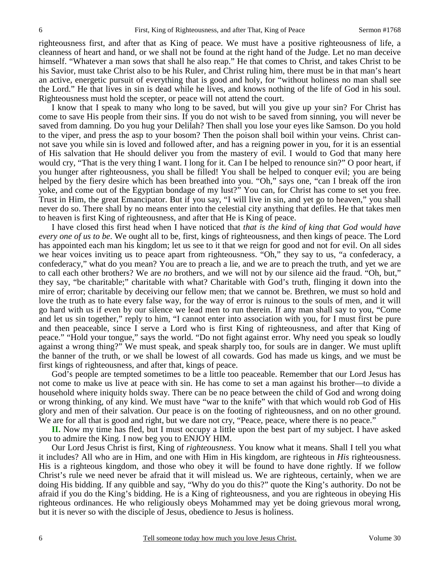righteousness first, and after that as King of peace. We must have a positive righteousness of life, a cleanness of heart and hand, or we shall not be found at the right hand of the Judge. Let no man deceive himself. "Whatever a man sows that shall he also reap." He that comes to Christ, and takes Christ to be his Savior, must take Christ also to be his Ruler, and Christ ruling him, there must be in that man's heart an active, energetic pursuit of everything that is good and holy, for "without holiness no man shall see the Lord." He that lives in sin is dead while he lives, and knows nothing of the life of God in his soul. Righteousness must hold the scepter, or peace will not attend the court.

 I know that I speak to many who long to be saved, but will you give up your sin? For Christ has come to save His people from their sins. If you do not wish to be saved from sinning, you will never be saved from damning. Do you hug your Delilah? Then shall you lose your eyes like Samson. Do you hold to the viper, and press the asp to your bosom? Then the poison shall boil within your veins. Christ cannot save you while sin is loved and followed after, and has a reigning power in you, for it is an essential of His salvation that He should deliver you from the mastery of evil. I would to God that many here would cry, "That is the very thing I want. I long for it. Can I be helped to renounce sin?" O poor heart, if you hunger after righteousness, you shall be filled! You shall be helped to conquer evil; you are being helped by the fiery desire which has been breathed into you. "Oh," says one, "can I break off the iron yoke, and come out of the Egyptian bondage of my lust?" You can, for Christ has come to set you free. Trust in Him, the great Emancipator. But if you say, "I will live in sin, and yet go to heaven," you shall never do so. There shall by no means enter into the celestial city anything that defiles. He that takes men to heaven is first King of righteousness, and after that He is King of peace.

 I have closed this first head when I have noticed that *that is the kind of king that God would have every one of us to be*. We ought all to be, first, kings of righteousness, and then kings of peace. The Lord has appointed each man his kingdom; let us see to it that we reign for good and not for evil. On all sides we hear voices inviting us to peace apart from righteousness. "Oh," they say to us, "a confederacy, a confederacy," what do you mean? You are to preach a lie, and we are to preach the truth, and yet we are to call each other brothers? We are *no* brothers, and we will not by our silence aid the fraud. "Oh, but," they say, "be charitable;" charitable with what? Charitable with God's truth, flinging it down into the mire of error; charitable by deceiving our fellow men; that we cannot be. Brethren, we must so hold and love the truth as to hate every false way, for the way of error is ruinous to the souls of men, and it will go hard with us if even by our silence we lead men to run therein. If any man shall say to you, "Come and let us sin together," reply to him, "I cannot enter into association with you, for I must first be pure and then peaceable, since I serve a Lord who is first King of righteousness, and after that King of peace." "Hold your tongue," says the world. "Do not fight against error. Why need you speak so loudly against a wrong thing?" We must speak, and speak sharply too, for souls are in danger. We must uplift the banner of the truth, or we shall be lowest of all cowards. God has made us kings, and we must be first kings of righteousness, and after that, kings of peace.

 God's people are tempted sometimes to be a little too peaceable. Remember that our Lord Jesus has not come to make us live at peace with sin. He has come to set a man against his brother—to divide a household where iniquity holds sway. There can be no peace between the child of God and wrong doing or wrong thinking, of any kind. We must have "war to the knife" with that which would rob God of His glory and men of their salvation. Our peace is on the footing of righteousness, and on no other ground. We are for all that is good and right, but we dare not cry, "Peace, peace, where there is no peace."

**II.** Now my time has fled, but I must occupy a little upon the best part of my subject. I have asked you to admire the King. I now beg you to ENJOY HIM.

 Our Lord Jesus Christ is first, King of *righteousness*. You know what it means. Shall I tell you what it includes? All who are in Him, and one with Him in His kingdom, are righteous in *His* righteousness. His is a righteous kingdom, and those who obey it will be found to have done rightly. If we follow Christ's rule we need never be afraid that it will mislead us. We are righteous, certainly, when we are doing His bidding. If any quibble and say, "Why do you do this?" quote the King's authority. Do not be afraid if you do the King's bidding. He is a King of righteousness, and you are righteous in obeying His righteous ordinances. He who religiously obeys Mohammed may yet be doing grievous moral wrong, but it is never so with the disciple of Jesus, obedience to Jesus is holiness.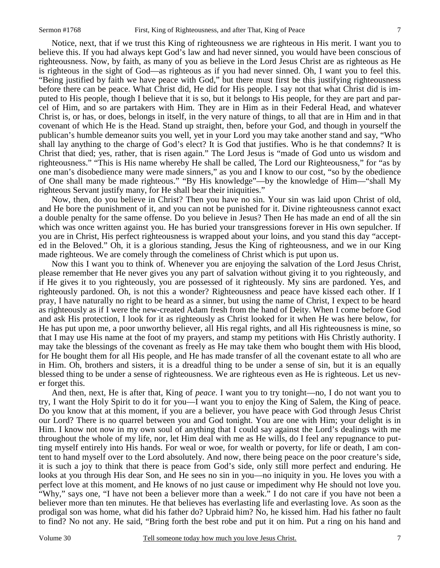Notice, next, that if we trust this King of righteousness we are righteous in His merit. I want you to believe this. If you had always kept God's law and had never sinned, you would have been conscious of righteousness. Now, by faith, as many of you as believe in the Lord Jesus Christ are as righteous as He is righteous in the sight of God—as righteous as if you had never sinned. Oh, I want you to feel this. "Being justified by faith we have peace with God," but there must first be this justifying righteousness before there can be peace. What Christ did, He did for His people. I say not that what Christ did is imputed to His people, though I believe that it is so, but it belongs to His people, for they are part and parcel of Him, and so are partakers with Him. They are in Him as in their Federal Head, and whatever Christ is, or has, or does, belongs in itself, in the very nature of things, to all that are in Him and in that covenant of which He is the Head. Stand up straight, then, before your God, and though in yourself the publican's humble demeanor suits you well, yet in your Lord you may take another stand and say, "Who shall lay anything to the charge of God's elect? It is God that justifies. Who is he that condemns? It is Christ that died; yes, rather, that is risen again." The Lord Jesus is "made of God unto us wisdom and righteousness." "This is His name whereby He shall be called, The Lord our Righteousness," for "as by one man's disobedience many were made sinners," as you and I know to our cost, "so by the obedience of One shall many be made righteous." "By His knowledge"—by the knowledge of Him—"shall My righteous Servant justify many, for He shall bear their iniquities."

 Now, then, do you believe in Christ? Then you have no sin. Your sin was laid upon Christ of old, and He bore the punishment of it, and you can not be punished for it. Divine righteousness cannot exact a double penalty for the same offense. Do you believe in Jesus? Then He has made an end of all the sin which was once written against you. He has buried your transgressions forever in His own sepulcher. If you are in Christ, His perfect righteousness is wrapped about your loins, and you stand this day "accepted in the Beloved." Oh, it is a glorious standing, Jesus the King of righteousness, and we in our King made righteous. We are comely through the comeliness of Christ which is put upon us.

 Now this I want you to think of. Whenever you are enjoying the salvation of the Lord Jesus Christ, please remember that He never gives you any part of salvation without giving it to you righteously, and if He gives it to you righteously, you are possessed of it righteously. My sins are pardoned. Yes, and righteously pardoned. Oh, is not this a wonder? Righteousness and peace have kissed each other. If I pray, I have naturally no right to be heard as a sinner, but using the name of Christ, I expect to be heard as righteously as if I were the new-created Adam fresh from the hand of Deity. When I come before God and ask His protection, I look for it as righteously as Christ looked for it when He was here below, for He has put upon me, a poor unworthy believer, all His regal rights, and all His righteousness is mine, so that I may use His name at the foot of my prayers, and stamp my petitions with His Christly authority. I may take the blessings of the covenant as freely as He may take them who bought them with His blood, for He bought them for all His people, and He has made transfer of all the covenant estate to all who are in Him. Oh, brothers and sisters, it is a dreadful thing to be under a sense of sin, but it is an equally blessed thing to be under a sense of righteousness. We are righteous even as He is righteous. Let us never forget this.

 And then, next, He is after that, King of *peace*. I want you to try tonight—no, I do not want you to try, I want the Holy Spirit to do it for you—I want you to enjoy the King of Salem, the King of peace. Do you know that at this moment, if you are a believer, you have peace with God through Jesus Christ our Lord? There is no quarrel between you and God tonight. You are one with Him; your delight is in Him. I know not now in my own soul of anything that I could say against the Lord's dealings with me throughout the whole of my life, nor, let Him deal with me as He wills, do I feel any repugnance to putting myself entirely into His hands. For weal or woe, for wealth or poverty, for life or death, I am content to hand myself over to the Lord absolutely. And now, there being peace on the poor creature's side, it is such a joy to think that there is peace from God's side, only still more perfect and enduring. He looks at you through His dear Son, and He sees no sin in you—no iniquity in you. He loves you with a perfect love at this moment, and He knows of no just cause or impediment why He should not love you. "Why," says one, "I have not been a believer more than a week." I do not care if you have not been a believer more than ten minutes. He that believes has everlasting life and everlasting love. As soon as the prodigal son was home, what did his father do? Upbraid him? No, he kissed him. Had his father no fault to find? No not any. He said, "Bring forth the best robe and put it on him. Put a ring on his hand and